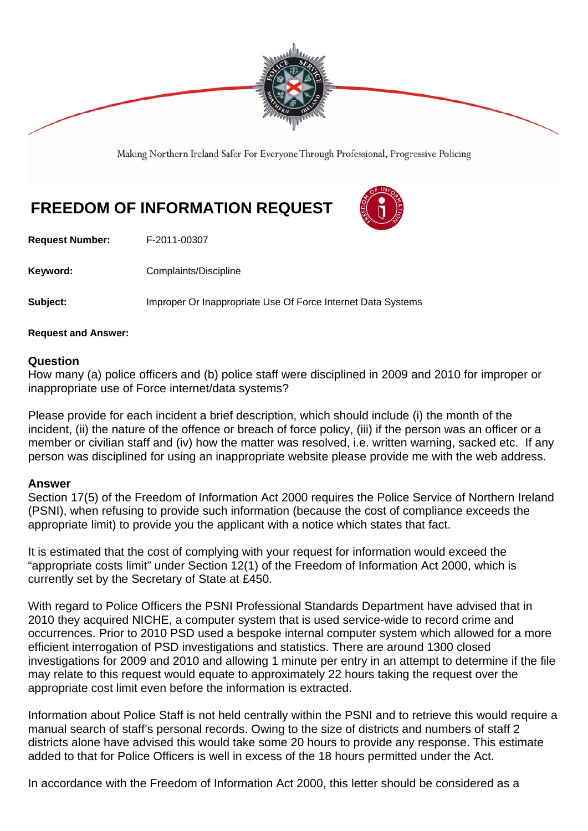

Making Northern Ireland Safer For Everyone Through Professional, Progressive Policing

## **FREEDOM OF INFORMATION REQUEST**



**Request Number:** F-2011-00307

**Keyword: Complaints/Discipline** 

**Subject:** Improper Or Inappropriate Use Of Force Internet Data Systems

**Request and Answer:** 

## **Question**

How many (a) police officers and (b) police staff were disciplined in 2009 and 2010 for improper or inappropriate use of Force internet/data systems?

Please provide for each incident a brief description, which should include (i) the month of the incident, (ii) the nature of the offence or breach of force policy, (iii) if the person was an officer or a member or civilian staff and (iv) how the matter was resolved, i.e. written warning, sacked etc. If any person was disciplined for using an inappropriate website please provide me with the web address.

## **Answer**

Section 17(5) of the Freedom of Information Act 2000 requires the Police Service of Northern Ireland (PSNI), when refusing to provide such information (because the cost of compliance exceeds the appropriate limit) to provide you the applicant with a notice which states that fact.

It is estimated that the cost of complying with your request for information would exceed the "appropriate costs limit" under Section 12(1) of the Freedom of Information Act 2000, which is currently set by the Secretary of State at £450.

With regard to Police Officers the PSNI Professional Standards Department have advised that in 2010 they acquired NICHE, a computer system that is used service-wide to record crime and occurrences. Prior to 2010 PSD used a bespoke internal computer system which allowed for a more efficient interrogation of PSD investigations and statistics. There are around 1300 closed investigations for 2009 and 2010 and allowing 1 minute per entry in an attempt to determine if the file may relate to this request would equate to approximately 22 hours taking the request over the appropriate cost limit even before the information is extracted.

Information about Police Staff is not held centrally within the PSNI and to retrieve this would require a manual search of staff's personal records. Owing to the size of districts and numbers of staff 2 districts alone have advised this would take some 20 hours to provide any response. This estimate added to that for Police Officers is well in excess of the 18 hours permitted under the Act.

In accordance with the Freedom of Information Act 2000, this letter should be considered as a